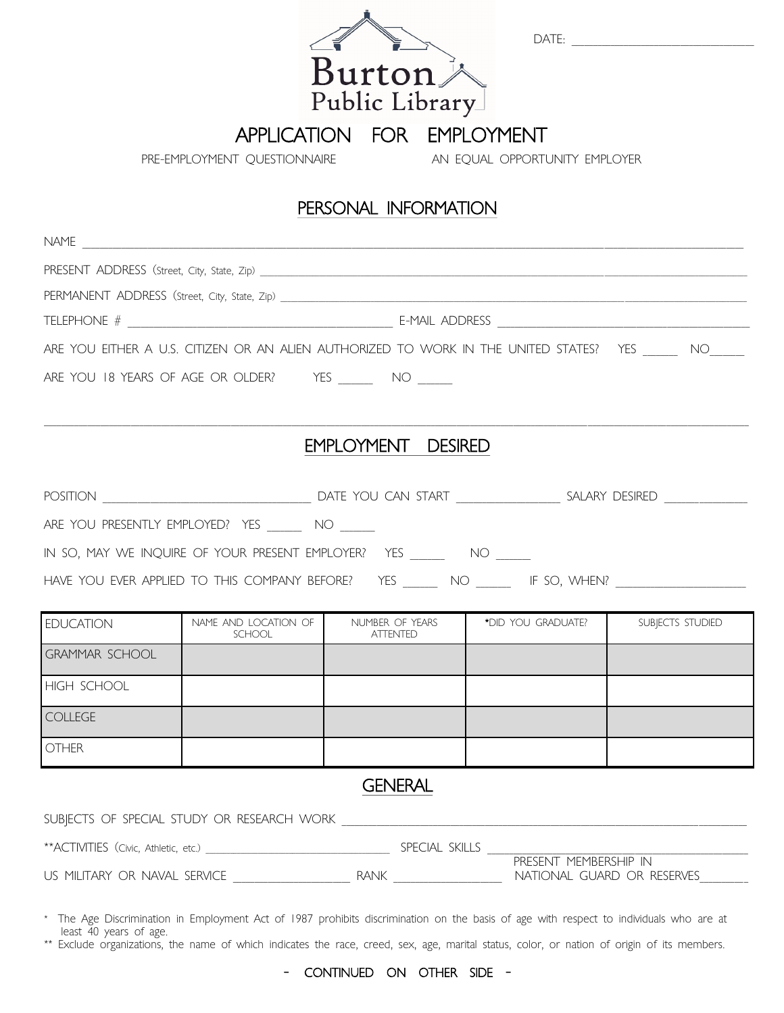DATE:



APPLICATION FOR EMPLOYMENT

PRE-EMPLOYMENT QUESTIONNAIRE AN EQUAL OPPORTUNITY EMPLOYER

## PERSONAL INFORMATION

|                                                                                                                                                                                                                                                                                                                                              |                                                                        |                             | ARE YOU EITHER A U.S. CITIZEN OR AN ALIEN AUTHORIZED TO WORK IN THE UNITED STATES? YES ______ NO_____ |  |  |
|----------------------------------------------------------------------------------------------------------------------------------------------------------------------------------------------------------------------------------------------------------------------------------------------------------------------------------------------|------------------------------------------------------------------------|-----------------------------|-------------------------------------------------------------------------------------------------------|--|--|
| ARE YOU 18 YEARS OF AGE OR OLDER? YES _______ NO ______                                                                                                                                                                                                                                                                                      |                                                                        |                             |                                                                                                       |  |  |
|                                                                                                                                                                                                                                                                                                                                              |                                                                        |                             |                                                                                                       |  |  |
|                                                                                                                                                                                                                                                                                                                                              |                                                                        | EMPLOYMENT DESIRED          |                                                                                                       |  |  |
|                                                                                                                                                                                                                                                                                                                                              |                                                                        |                             |                                                                                                       |  |  |
|                                                                                                                                                                                                                                                                                                                                              |                                                                        |                             |                                                                                                       |  |  |
|                                                                                                                                                                                                                                                                                                                                              | ARE YOU PRESENTLY EMPLOYED? YES ______ NO ______                       |                             |                                                                                                       |  |  |
|                                                                                                                                                                                                                                                                                                                                              | IN SO, MAY WE INQUIRE OF YOUR PRESENT EMPLOYER? YES ________ NO ______ |                             |                                                                                                       |  |  |
| HAVE YOU EVER APPLIED TO THIS COMPANY BEFORE? YES ______ NO ______ IF SO, WHEN? ___________________                                                                                                                                                                                                                                          |                                                                        |                             |                                                                                                       |  |  |
| <b>EDUCATION</b>                                                                                                                                                                                                                                                                                                                             | NAME AND LOCATION OF<br>SCHOOL                                         | NUMBER OF YEARS<br>ATTENTED | *DID YOU GRADUATE? SUBJECTS STUDIED                                                                   |  |  |
| <b>GRAMMAR SCHOOL</b>                                                                                                                                                                                                                                                                                                                        |                                                                        |                             |                                                                                                       |  |  |
| HIGH SCHOOL                                                                                                                                                                                                                                                                                                                                  |                                                                        |                             |                                                                                                       |  |  |
| <b>COLLEGE</b>                                                                                                                                                                                                                                                                                                                               |                                                                        |                             |                                                                                                       |  |  |
| <b>OTHER</b>                                                                                                                                                                                                                                                                                                                                 |                                                                        |                             |                                                                                                       |  |  |
| <b>GENERAL</b>                                                                                                                                                                                                                                                                                                                               |                                                                        |                             |                                                                                                       |  |  |
|                                                                                                                                                                                                                                                                                                                                              |                                                                        |                             |                                                                                                       |  |  |
| PRESENT MEMBERSHIP IN                                                                                                                                                                                                                                                                                                                        |                                                                        |                             |                                                                                                       |  |  |
|                                                                                                                                                                                                                                                                                                                                              |                                                                        |                             |                                                                                                       |  |  |
| * The Age Discrimination in Employment Act of 1987 prohibits discrimination on the basis of age with respect to individuals who are at<br>least 40 years of age.<br>** Exclude organizations, the name of which indicates the race, creed, sex, age, marital status, color, or nation of origin of its members.<br>CONTINUED ON OTHER SIDE - |                                                                        |                             |                                                                                                       |  |  |